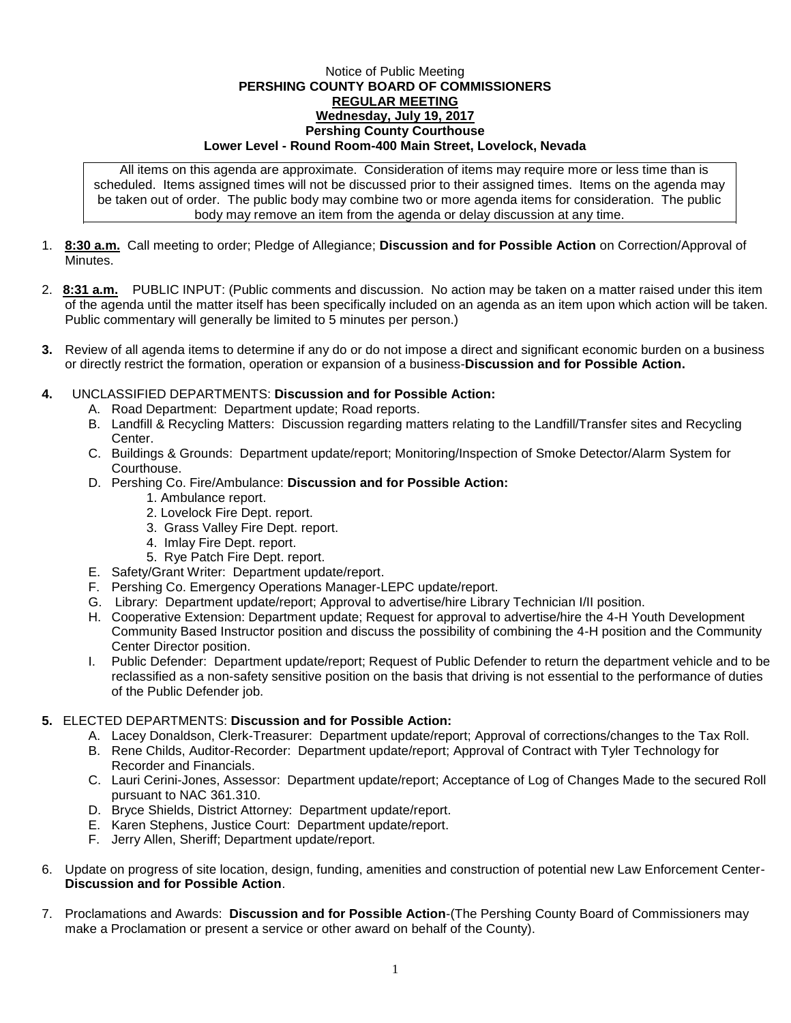## Notice of Public Meeting **PERSHING COUNTY BOARD OF COMMISSIONERS REGULAR MEETING Wednesday, July 19, 2017 Pershing County Courthouse Lower Level - Round Room-400 Main Street, Lovelock, Nevada**

All items on this agenda are approximate. Consideration of items may require more or less time than is scheduled. Items assigned times will not be discussed prior to their assigned times. Items on the agenda may be taken out of order. The public body may combine two or more agenda items for consideration. The public body may remove an item from the agenda or delay discussion at any time.

- 1. **8:30 a.m.** Call meeting to order; Pledge of Allegiance; **Discussion and for Possible Action** on Correction/Approval of **Minutes**
- 2. **8:31 a.m.** PUBLIC INPUT: (Public comments and discussion. No action may be taken on a matter raised under this item of the agenda until the matter itself has been specifically included on an agenda as an item upon which action will be taken. Public commentary will generally be limited to 5 minutes per person.)
- **3.** Review of all agenda items to determine if any do or do not impose a direct and significant economic burden on a business or directly restrict the formation, operation or expansion of a business-**Discussion and for Possible Action.**
- **4.** UNCLASSIFIED DEPARTMENTS: **Discussion and for Possible Action:**
	- A. Road Department: Department update; Road reports.
	- B. Landfill & Recycling Matters: Discussion regarding matters relating to the Landfill/Transfer sites and Recycling Center.
	- C. Buildings & Grounds: Department update/report; Monitoring/Inspection of Smoke Detector/Alarm System for Courthouse.
	- D. Pershing Co. Fire/Ambulance: **Discussion and for Possible Action:**
		- 1. Ambulance report.
		- 2. Lovelock Fire Dept. report.
		- 3. Grass Valley Fire Dept. report.
		- 4. Imlay Fire Dept. report.
		- 5. Rye Patch Fire Dept. report.
	- E. Safety/Grant Writer: Department update/report.
	- F. Pershing Co. Emergency Operations Manager-LEPC update/report.
	- G. Library: Department update/report; Approval to advertise/hire Library Technician I/II position.
	- H. Cooperative Extension: Department update; Request for approval to advertise/hire the 4-H Youth Development Community Based Instructor position and discuss the possibility of combining the 4-H position and the Community Center Director position.
	- I. Public Defender: Department update/report; Request of Public Defender to return the department vehicle and to be reclassified as a non-safety sensitive position on the basis that driving is not essential to the performance of duties of the Public Defender job.

## **5.** ELECTED DEPARTMENTS: **Discussion and for Possible Action:**

- A. Lacey Donaldson, Clerk-Treasurer: Department update/report; Approval of corrections/changes to the Tax Roll.
- B. Rene Childs, Auditor-Recorder: Department update/report; Approval of Contract with Tyler Technology for Recorder and Financials.
- C. Lauri Cerini-Jones, Assessor: Department update/report; Acceptance of Log of Changes Made to the secured Roll pursuant to NAC 361.310.
- D. Bryce Shields, District Attorney: Department update/report.
- E. Karen Stephens, Justice Court: Department update/report.
- F. Jerry Allen, Sheriff; Department update/report.
- 6. Update on progress of site location, design, funding, amenities and construction of potential new Law Enforcement Center-**Discussion and for Possible Action**.
- 7. Proclamations and Awards: **Discussion and for Possible Action**-(The Pershing County Board of Commissioners may make a Proclamation or present a service or other award on behalf of the County).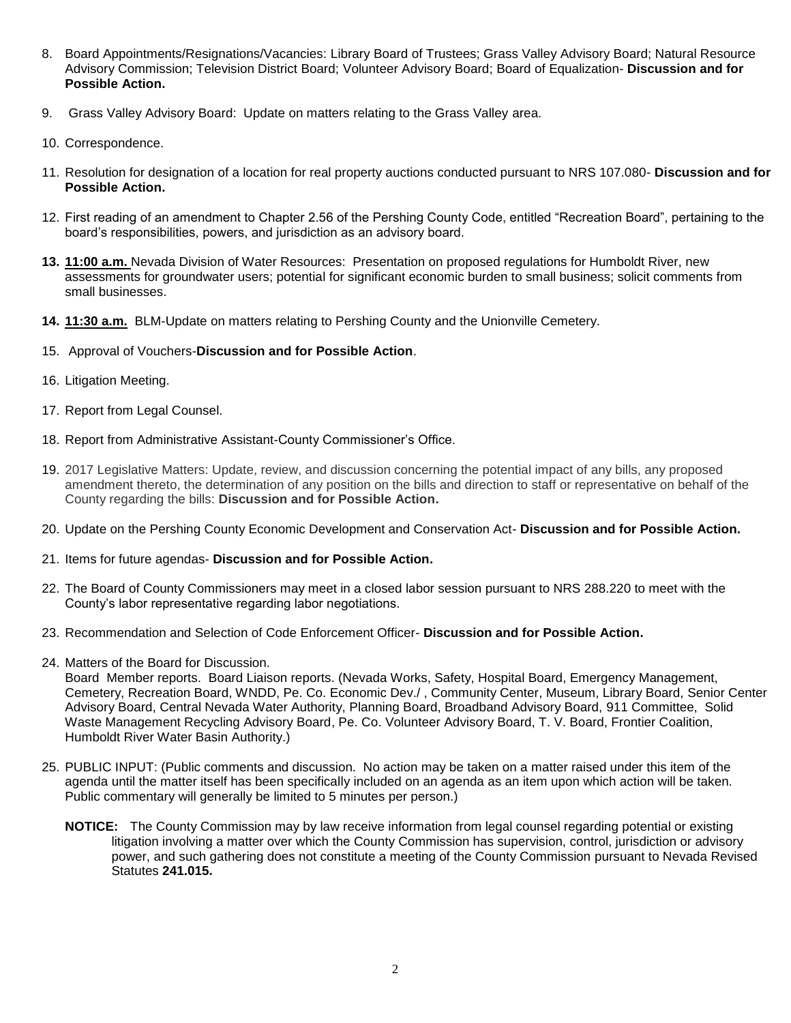- 8. Board Appointments/Resignations/Vacancies: Library Board of Trustees; Grass Valley Advisory Board; Natural Resource Advisory Commission; Television District Board; Volunteer Advisory Board; Board of Equalization- **Discussion and for Possible Action.**
- 9. Grass Valley Advisory Board: Update on matters relating to the Grass Valley area.
- 10. Correspondence.
- 11. Resolution for designation of a location for real property auctions conducted pursuant to NRS 107.080- **Discussion and for Possible Action.**
- 12. First reading of an amendment to Chapter 2.56 of the Pershing County Code, entitled "Recreation Board", pertaining to the board's responsibilities, powers, and jurisdiction as an advisory board.
- **13. 11:00 a.m.** Nevada Division of Water Resources: Presentation on proposed regulations for Humboldt River, new assessments for groundwater users; potential for significant economic burden to small business; solicit comments from small businesses.
- **14. 11:30 a.m.** BLM-Update on matters relating to Pershing County and the Unionville Cemetery.
- 15. Approval of Vouchers-**Discussion and for Possible Action**.
- 16. Litigation Meeting.
- 17. Report from Legal Counsel.
- 18. Report from Administrative Assistant-County Commissioner's Office.
- 19. 2017 Legislative Matters: Update, review, and discussion concerning the potential impact of any bills, any proposed amendment thereto, the determination of any position on the bills and direction to staff or representative on behalf of the County regarding the bills: **Discussion and for Possible Action.**
- 20. Update on the Pershing County Economic Development and Conservation Act- **Discussion and for Possible Action.**
- 21. Items for future agendas- **Discussion and for Possible Action.**
- 22. The Board of County Commissioners may meet in a closed labor session pursuant to NRS 288.220 to meet with the County's labor representative regarding labor negotiations.
- 23. Recommendation and Selection of Code Enforcement Officer- **Discussion and for Possible Action.**
- 24. Matters of the Board for Discussion.

Board Member reports. Board Liaison reports. (Nevada Works, Safety, Hospital Board, Emergency Management, Cemetery, Recreation Board, WNDD, Pe. Co. Economic Dev./ , Community Center, Museum, Library Board, Senior Center Advisory Board, Central Nevada Water Authority, Planning Board, Broadband Advisory Board, 911 Committee, Solid Waste Management Recycling Advisory Board, Pe. Co. Volunteer Advisory Board, T. V. Board, Frontier Coalition, Humboldt River Water Basin Authority.)

- 25. PUBLIC INPUT: (Public comments and discussion. No action may be taken on a matter raised under this item of the agenda until the matter itself has been specifically included on an agenda as an item upon which action will be taken. Public commentary will generally be limited to 5 minutes per person.)
	- **NOTICE:** The County Commission may by law receive information from legal counsel regarding potential or existing litigation involving a matter over which the County Commission has supervision, control, jurisdiction or advisory power, and such gathering does not constitute a meeting of the County Commission pursuant to Nevada Revised Statutes **241.015.**